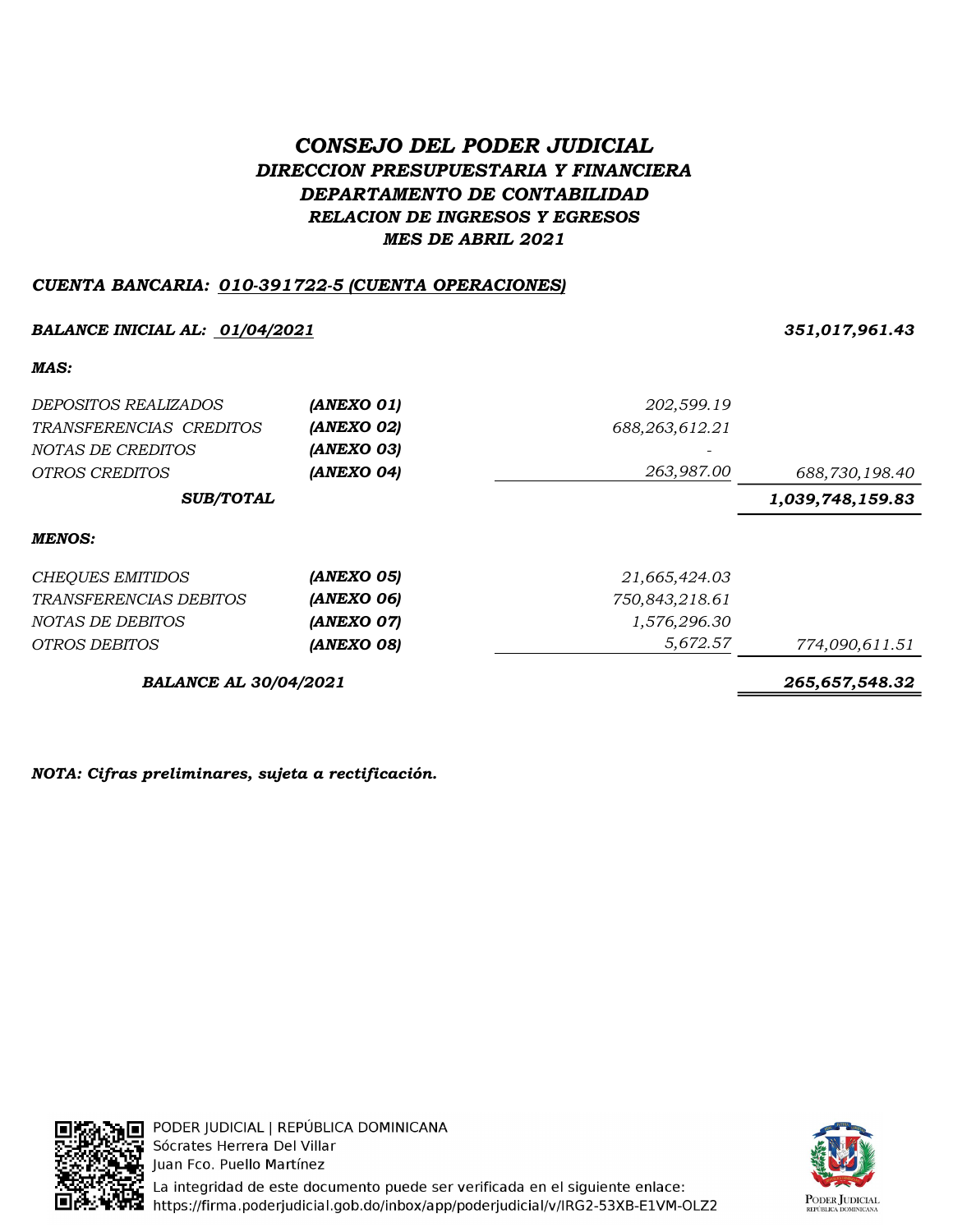# CONSEJO DEL PODER JUDICIAL DIRECCION PRESUPUESTARIA Y FINANCIERA DEPARTAMENTO DE CONTABILIDAD RELACION DE INGRESOS Y EGRESOS MES DE ABRIL 2021

### CUENTA BANCARIA: 010-391722-5 (CUENTA OPERACIONES)

### BALANCE INICIAL AL: <u>01/04/2021</u> 251,017,961.43

### MAS:

| DEPOSITOS REALIZADOS         | (ANEXO 01) | 202,599.19     |                  |
|------------------------------|------------|----------------|------------------|
| TRANSFERENCIAS CREDITOS      | (ANEXO 02) | 688,263,612.21 |                  |
| NOTAS DE CREDITOS            | (ANEXO 03) |                |                  |
| <i>OTROS CREDITOS</i>        | (ANEXO 04) | 263,987.00     | 688,730,198.40   |
| <b>SUB/TOTAL</b>             |            |                | 1,039,748,159.83 |
| <b>MENOS:</b>                |            |                |                  |
| CHEQUES EMITIDOS             | (ANEXO 05) | 21,665,424.03  |                  |
| TRANSFERENCIAS DEBITOS       | (ANEXO 06) | 750,843,218.61 |                  |
| NOTAS DE DEBITOS             | (ANEXO 07) | 1,576,296.30   |                  |
| OTROS DEBITOS                | (ANEXO 08) | 5,672.57       | 774,090,611.51   |
| <b>BALANCE AL 30/04/2021</b> |            |                | 265,657,548.32   |

NOTA: Cifras preliminares, sujeta a rectificación.



PODER JUDICIAL | REPÚBLICA DOMINICANA Sócrates Herrera Del Villar Juan Fco. Puello Martínez La integridad de este documento puede ser verificada en el siguiente enlace: https://firma.poderjudicial.gob.do/inbox/app/poderjudicial/v/IRG2-53XB-E1VM-OLZ2

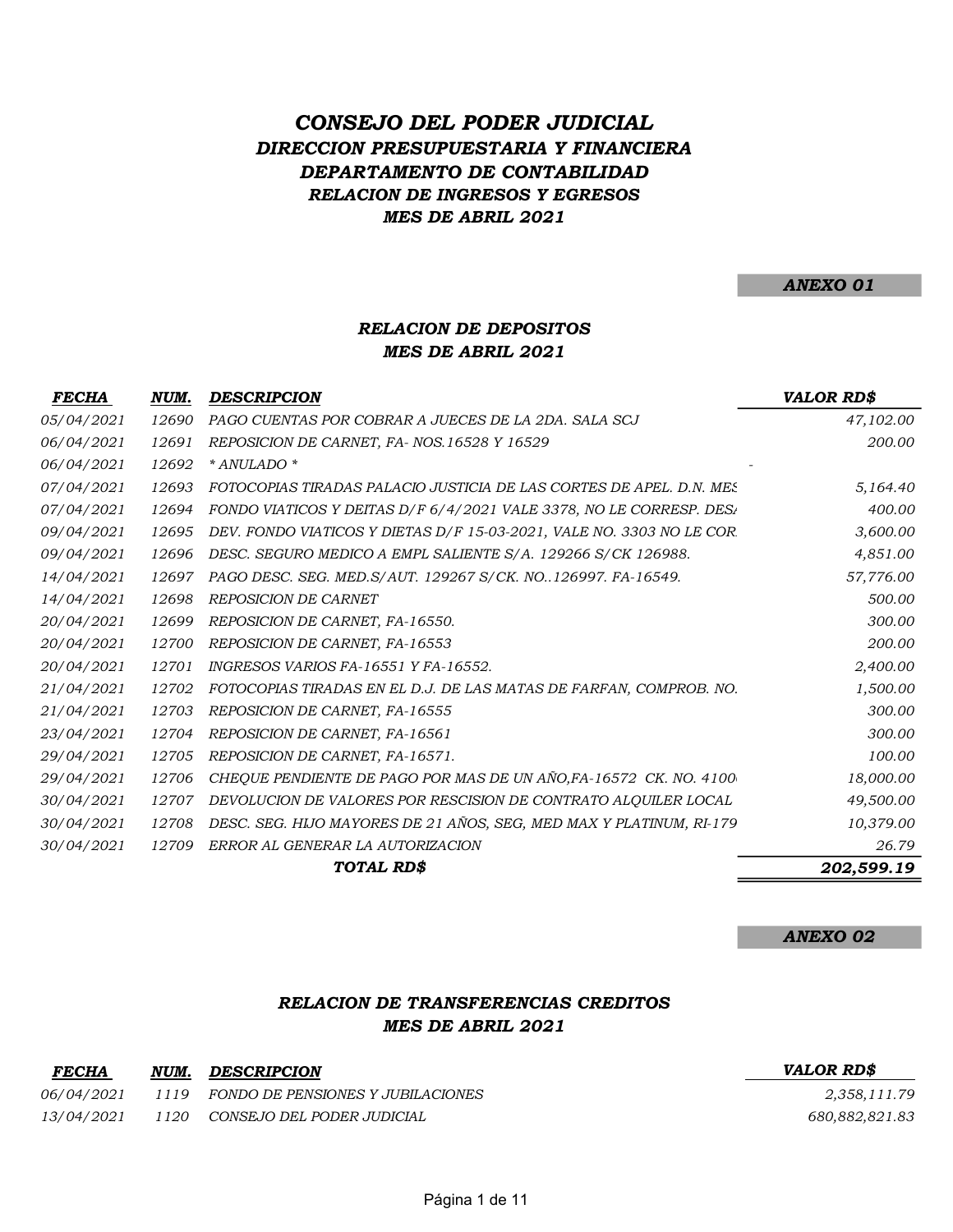# DIRECCION PRESUPUESTARIA Y FINANCIERA DEPARTAMENTO DE CONTABILIDAD RELACION DE INGRESOS Y EGRESOS MES DE ABRIL 2021 CONSEJO DEL PODER JUDICIAL

ANEXO 01

### RELACION DE DEPOSITOS MES DE ABRIL 2021

| <b>FECHA</b> | NUM.  | <b>DESCRIPCION</b>                                                    | <b>VALOR RD\$</b> |
|--------------|-------|-----------------------------------------------------------------------|-------------------|
| 05/04/2021   | 12690 | PAGO CUENTAS POR COBRAR A JUECES DE LA 2DA. SALA SCJ                  | 47,102.00         |
| 06/04/2021   | 12691 | REPOSICION DE CARNET, FA-NOS.16528 Y 16529                            | 200.00            |
| 06/04/2021   | 12692 | * ANULADO *                                                           |                   |
| 07/04/2021   | 12693 | FOTOCOPIAS TIRADAS PALACIO JUSTICIA DE LAS CORTES DE APEL. D.N. MES   | 5,164.40          |
| 07/04/2021   | 12694 | FONDO VIATICOS Y DEITAS D/F 6/4/2021 VALE 3378, NO LE CORRESP. DESA   | 400.00            |
| 09/04/2021   | 12695 | DEV. FONDO VIATICOS Y DIETAS D/F 15-03-2021, VALE NO. 3303 NO LE COR. | 3,600.00          |
| 09/04/2021   | 12696 | DESC. SEGURO MEDICO A EMPL SALIENTE S/A. 129266 S/CK 126988.          | 4,851.00          |
| 14/04/2021   | 12697 | PAGO DESC. SEG. MED.S/AUT. 129267 S/CK. NO126997. FA-16549.           | 57,776.00         |
| 14/04/2021   | 12698 | <b>REPOSICION DE CARNET</b>                                           | 500.00            |
| 20/04/2021   | 12699 | REPOSICION DE CARNET, FA-16550.                                       | 300.00            |
| 20/04/2021   | 12700 | REPOSICION DE CARNET, FA-16553                                        | 200.00            |
| 20/04/2021   | 12701 | INGRESOS VARIOS FA-16551 Y FA-16552.                                  | 2,400.00          |
| 21/04/2021   | 12702 | FOTOCOPIAS TIRADAS EN EL D.J. DE LAS MATAS DE FARFAN, COMPROB. NO.    | 1,500.00          |
| 21/04/2021   | 12703 | REPOSICION DE CARNET, FA-16555                                        | 300.00            |
| 23/04/2021   | 12704 | REPOSICION DE CARNET, FA-16561                                        | 300.00            |
| 29/04/2021   | 12705 | REPOSICION DE CARNET, FA-16571.                                       | 100.00            |
| 29/04/2021   | 12706 | CHEQUE PENDIENTE DE PAGO POR MAS DE UN AÑO, FA-16572 CK. NO. 4100     | 18,000.00         |
| 30/04/2021   | 12707 | DEVOLUCION DE VALORES POR RESCISION DE CONTRATO ALQUILER LOCAL        | 49,500.00         |
| 30/04/2021   | 12708 | DESC. SEG. HIJO MAYORES DE 21 AÑOS, SEG, MED MAX Y PLATINUM, RI-179   | 10,379.00         |
| 30/04/2021   | 12709 | ERROR AL GENERAR LA AUTORIZACION                                      | 26.79             |
|              |       | TOTAL RD\$                                                            | 202,599.19        |
|              |       |                                                                       |                   |

ANEXO 02

#### RELACION DE TRANSFERENCIAS CREDITOS MES DE ABRIL 2021

| <b>FECHA</b>      | NUM. | <b>DESCRIPCION</b>                     | <b>VALOR RDS</b> |
|-------------------|------|----------------------------------------|------------------|
| <i>06/04/2021</i> |      | 1119 FONDO DE PENSIONES Y JUBILACIONES | 2,358,11         |
| <i>13/04/2021</i> |      | 1120 CONSEJO DEL PODER JUDICIAL        | 680,882,82       |

 $S$   $2,358,111.79$ 680,882,821.83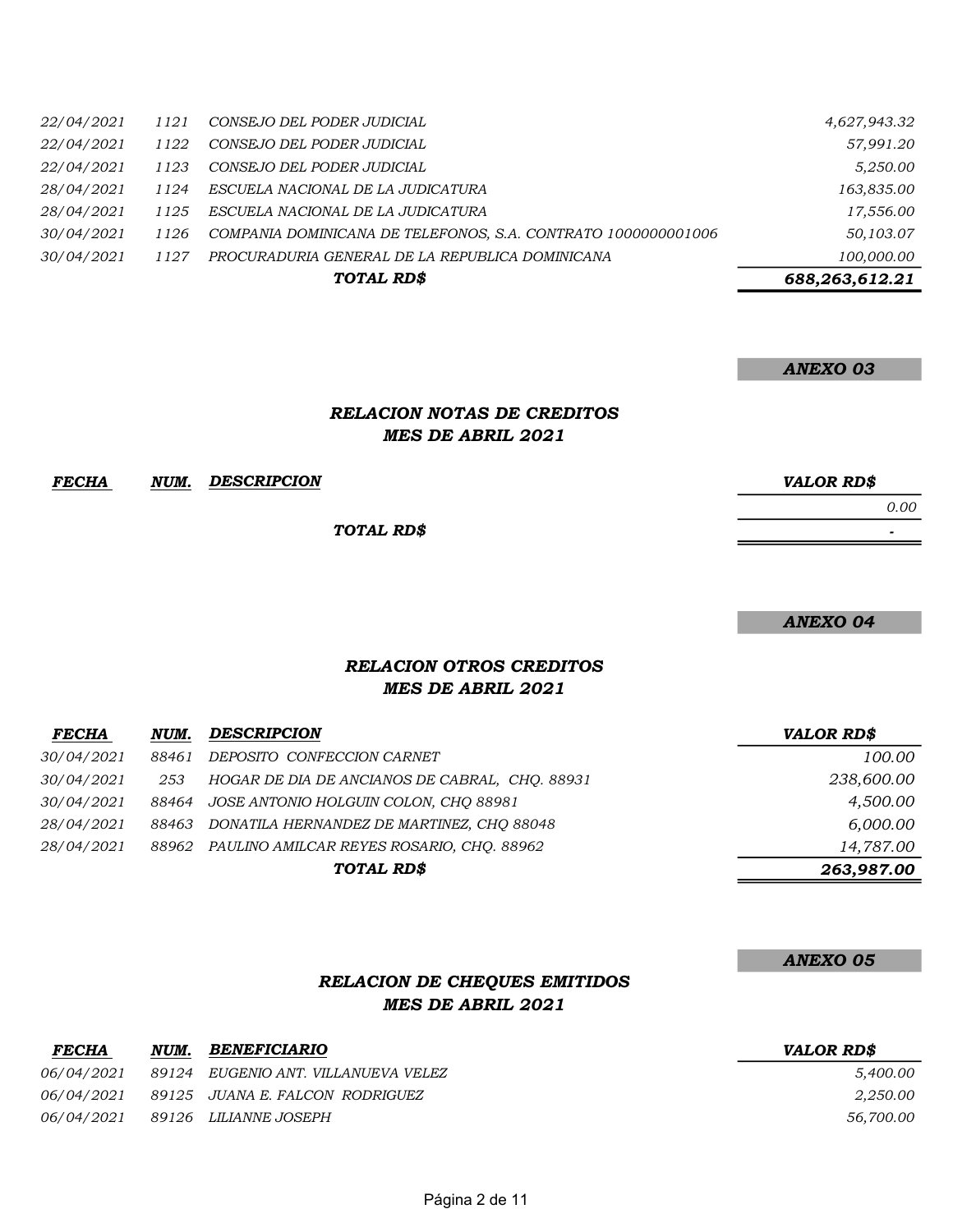| <i>22/04/2021</i> | 1121 | CONSEJO DEL PODER JUDICIAL                                    | 4,627,943.32   |
|-------------------|------|---------------------------------------------------------------|----------------|
| 22/04/2021        | 1122 | CONSEJO DEL PODER JUDICIAL                                    | 57,991.20      |
| <i>22/04/2021</i> | 1123 | CONSEJO DEL PODER JUDICIAL                                    | 5,250.00       |
| <i>28/04/2021</i> | 1124 | ESCUELA NACIONAL DE LA JUDICATURA                             | 163,835.00     |
| <i>28/04/2021</i> | 1125 | ESCUELA NACIONAL DE LA JUDICATURA                             | 17,556.00      |
| 30/04/2021        | 1126 | COMPANIA DOMINICANA DE TELEFONOS, S.A. CONTRATO 1000000001006 | 50,103.07      |
| <i>30/04/2021</i> | 1127 | PROCURADURIA GENERAL DE LA REPUBLICA DOMINICANA               | 100,000.00     |
|                   |      | TOTAL RD\$                                                    | 688,263,612.21 |

#### ANEXO 03

### RELACION NOTAS DE CREDITOS MES DE ABRIL 2021

| FECHA | NUM. | <b>DESCRIPCION</b> | <b>VALOR RD\$</b>        |
|-------|------|--------------------|--------------------------|
|       |      |                    | 0.00                     |
|       |      | TOTAL RD\$         | $\overline{\phantom{0}}$ |

ANEXO 04

### MES DE ABRIL 2021 RELACION OTROS CREDITOS

| <b>FECHA</b>      | NUM.  | <b>DESCRIPCION</b>                              | <b>VALOR RD\$</b> |
|-------------------|-------|-------------------------------------------------|-------------------|
| 30/04/2021        | 88461 | DEPOSITO CONFECCION CARNET                      | 100.00            |
| <i>30/04/2021</i> | 253   | HOGAR DE DIA DE ANCIANOS DE CABRAL, CHO. 88931  | 238,600.00        |
| <i>30/04/2021</i> | 88464 | JOSE ANTONIO HOLGUIN COLON, CHO 88981           | 4,500.00          |
| <i>28/04/2021</i> | 88463 | DONATILA HERNANDEZ DE MARTINEZ, CHO 88048       | 6,000.00          |
| <i>28/04/2021</i> |       | 88962 PAULINO AMILCAR REYES ROSARIO, CHO. 88962 | 14,787.00         |
|                   |       | TOTAL RD\$                                      | 263,987.00        |

#### ANEXO 05

#### RELACION DE CHEQUES EMITIDOS MES DE ABRIL 2021

| <b>FECHA</b> | NUM. | BENEFICIARIO                               | <i><b>VALOR RDS</b></i> |
|--------------|------|--------------------------------------------|-------------------------|
| 06/04/2021   |      | 89124    EUGENIO ANT. VILLANUEVA VELEZ     | 5.400.00                |
|              |      | 06/04/2021 89125 JUANA E. FALCON RODRIGUEZ | 2,250.00                |
|              |      | 06/04/2021 89126 LILIANNE JOSEPH           | 56,700.00               |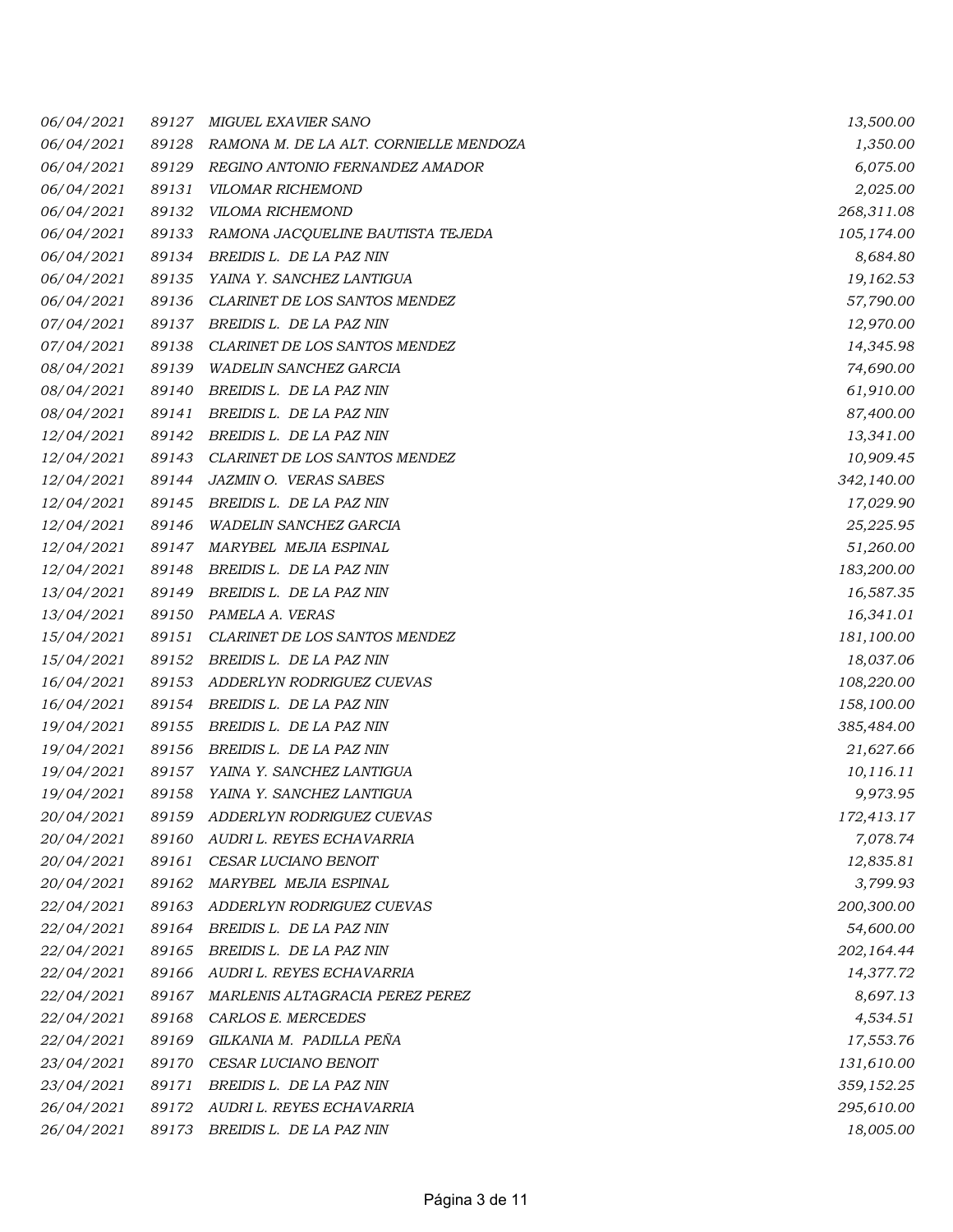| 06/04/2021        | 89127 | <b>MIGUEL EXAVIER SANO</b>             | 13,500.00  |
|-------------------|-------|----------------------------------------|------------|
| 06/04/2021        | 89128 | RAMONA M. DE LA ALT. CORNIELLE MENDOZA | 1,350.00   |
| 06/04/2021        | 89129 | REGINO ANTONIO FERNANDEZ AMADOR        | 6,075.00   |
| 06/04/2021        | 89131 | VILOMAR RICHEMOND                      | 2,025.00   |
| 06/04/2021        | 89132 | VILOMA RICHEMOND                       | 268,311.08 |
| 06/04/2021        | 89133 | RAMONA JACQUELINE BAUTISTA TEJEDA      | 105,174.00 |
| 06/04/2021        | 89134 | BREIDIS L. DE LA PAZ NIN               | 8,684.80   |
| 06/04/2021        | 89135 | YAINA Y. SANCHEZ LANTIGUA              | 19,162.53  |
| 06/04/2021        | 89136 | CLARINET DE LOS SANTOS MENDEZ          | 57,790.00  |
| 07/04/2021        | 89137 | BREIDIS L. DE LA PAZ NIN               | 12,970.00  |
| 07/04/2021        | 89138 | CLARINET DE LOS SANTOS MENDEZ          | 14,345.98  |
| 08/04/2021        | 89139 | <b>WADELIN SANCHEZ GARCIA</b>          | 74,690.00  |
| 08/04/2021        | 89140 | BREIDIS L. DE LA PAZ NIN               | 61,910.00  |
| 08/04/2021        | 89141 | BREIDIS L. DE LA PAZ NIN               | 87,400.00  |
| 12/04/2021        | 89142 | BREIDIS L. DE LA PAZ NIN               | 13,341.00  |
| <i>12/04/2021</i> | 89143 | <b>CLARINET DE LOS SANTOS MENDEZ</b>   | 10,909.45  |
| 12/04/2021        | 89144 | <b>JAZMIN O. VERAS SABES</b>           | 342,140.00 |
| <i>12/04/2021</i> | 89145 | BREIDIS L. DE LA PAZ NIN               | 17,029.90  |
| 12/04/2021        | 89146 | WADELIN SANCHEZ GARCIA                 | 25,225.95  |
| 12/04/2021        | 89147 | MARYBEL MEJIA ESPINAL                  | 51,260.00  |
| <i>12/04/2021</i> | 89148 | BREIDIS L. DE LA PAZ NIN               | 183,200.00 |
| 13/04/2021        | 89149 | BREIDIS L. DE LA PAZ NIN               | 16,587.35  |
| 13/04/2021        | 89150 | PAMELA A. VERAS                        | 16,341.01  |
| 15/04/2021        | 89151 | CLARINET DE LOS SANTOS MENDEZ          | 181,100.00 |
| 15/04/2021        | 89152 | BREIDIS L. DE LA PAZ NIN               | 18,037.06  |
| 16/04/2021        | 89153 | ADDERLYN RODRIGUEZ CUEVAS              | 108,220.00 |
| 16/04/2021        | 89154 | BREIDIS L. DE LA PAZ NIN               | 158,100.00 |
| 19/04/2021        | 89155 | BREIDIS L. DE LA PAZ NIN               | 385,484.00 |
| 19/04/2021        | 89156 | BREIDIS L. DE LA PAZ NIN               | 21,627.66  |
| 19/04/2021        | 89157 | YAINA Y. SANCHEZ LANTIGUA              | 10,116.11  |
| 19/04/2021        | 89158 | YAINA Y. SANCHEZ LANTIGUA              | 9,973.95   |
| 20/04/2021        | 89159 | ADDERLYN RODRIGUEZ CUEVAS              | 172,413.17 |
| 20/04/2021        | 89160 | AUDRI L. REYES ECHAVARRIA              | 7,078.74   |
| 20/04/2021        | 89161 | CESAR LUCIANO BENOIT                   | 12,835.81  |
| 20/04/2021        | 89162 | MARYBEL MEJIA ESPINAL                  | 3,799.93   |
| 22/04/2021        | 89163 | ADDERLYN RODRIGUEZ CUEVAS              | 200,300.00 |
| 22/04/2021        | 89164 | BREIDIS L. DE LA PAZ NIN               | 54,600.00  |
| 22/04/2021        | 89165 | BREIDIS L. DE LA PAZ NIN               | 202,164.44 |
| 22/04/2021        | 89166 | AUDRI L. REYES ECHAVARRIA              | 14,377.72  |
| 22/04/2021        | 89167 | MARLENIS ALTAGRACIA PEREZ PEREZ        | 8,697.13   |
| 22/04/2021        | 89168 | CARLOS E. MERCEDES                     | 4,534.51   |
| 22/04/2021        | 89169 | GILKANIA M. PADILLA PEÑA               | 17,553.76  |
| 23/04/2021        | 89170 | CESAR LUCIANO BENOIT                   | 131,610.00 |
| 23/04/2021        | 89171 | BREIDIS L. DE LA PAZ NIN               | 359,152.25 |
| 26/04/2021        | 89172 | AUDRI L. REYES ECHAVARRIA              | 295,610.00 |
| 26/04/2021        | 89173 | BREIDIS L. DE LA PAZ NIN               | 18,005.00  |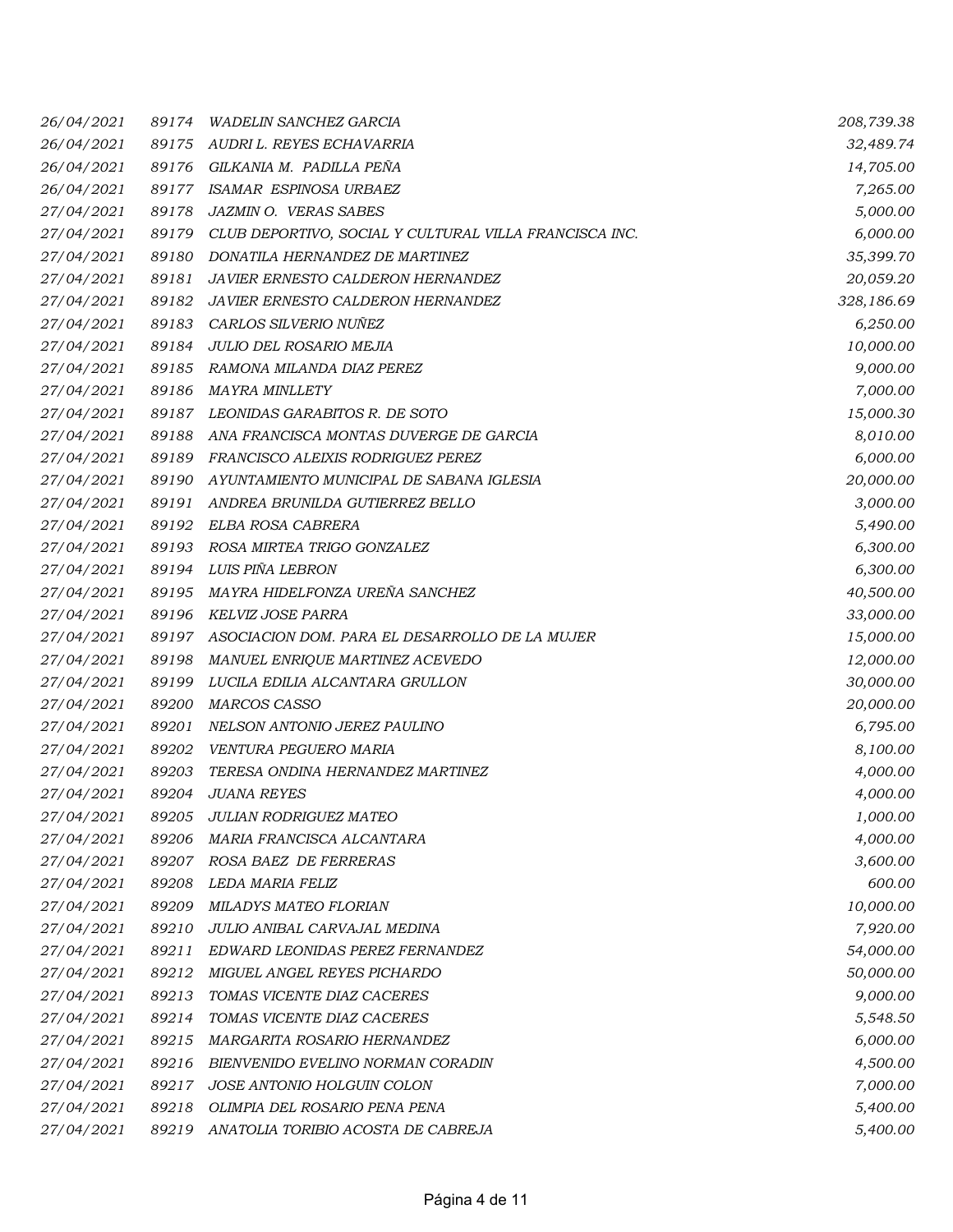| 26/04/2021 | 89174 | <b>WADELIN SANCHEZ GARCIA</b>                          | 208,739.38 |
|------------|-------|--------------------------------------------------------|------------|
| 26/04/2021 | 89175 | AUDRI L. REYES ECHAVARRIA                              | 32,489.74  |
| 26/04/2021 | 89176 | GILKANIA M. PADILLA PEÑA                               | 14,705.00  |
| 26/04/2021 | 89177 | ISAMAR ESPINOSA URBAEZ                                 | 7,265.00   |
| 27/04/2021 | 89178 | JAZMIN O. VERAS SABES                                  | 5,000.00   |
| 27/04/2021 | 89179 | CLUB DEPORTIVO, SOCIAL Y CULTURAL VILLA FRANCISCA INC. | 6,000.00   |
| 27/04/2021 | 89180 | DONATILA HERNANDEZ DE MARTINEZ                         | 35,399.70  |
| 27/04/2021 | 89181 | JAVIER ERNESTO CALDERON HERNANDEZ                      | 20,059.20  |
| 27/04/2021 | 89182 | <b>JAVIER ERNESTO CALDERON HERNANDEZ</b>               | 328,186.69 |
| 27/04/2021 | 89183 | CARLOS SILVERIO NUÑEZ                                  | 6,250.00   |
| 27/04/2021 | 89184 | JULIO DEL ROSARIO MEJIA                                | 10,000.00  |
| 27/04/2021 | 89185 | RAMONA MILANDA DIAZ PEREZ                              | 9,000.00   |
| 27/04/2021 | 89186 | MAYRA MINLLETY                                         | 7,000.00   |
| 27/04/2021 | 89187 | LEONIDAS GARABITOS R. DE SOTO                          | 15,000.30  |
| 27/04/2021 | 89188 | ANA FRANCISCA MONTAS DUVERGE DE GARCIA                 | 8,010.00   |
| 27/04/2021 | 89189 | FRANCISCO ALEIXIS RODRIGUEZ PEREZ                      | 6,000.00   |
| 27/04/2021 | 89190 | AYUNTAMIENTO MUNICIPAL DE SABANA IGLESIA               | 20,000.00  |
| 27/04/2021 | 89191 | ANDREA BRUNILDA GUTIERREZ BELLO                        | 3,000.00   |
| 27/04/2021 | 89192 | ELBA ROSA CABRERA                                      | 5,490.00   |
| 27/04/2021 | 89193 | ROSA MIRTEA TRIGO GONZALEZ                             | 6,300.00   |
| 27/04/2021 | 89194 | LUIS PIÑA LEBRON                                       | 6,300.00   |
| 27/04/2021 | 89195 | MAYRA HIDELFONZA UREÑA SANCHEZ                         | 40,500.00  |
| 27/04/2021 | 89196 | KELVIZ JOSE PARRA                                      | 33,000.00  |
| 27/04/2021 | 89197 | ASOCIACION DOM. PARA EL DESARROLLO DE LA MUJER         | 15,000.00  |
| 27/04/2021 | 89198 | MANUEL ENRIQUE MARTINEZ ACEVEDO                        | 12,000.00  |
| 27/04/2021 | 89199 | LUCILA EDILIA ALCANTARA GRULLON                        | 30,000.00  |
| 27/04/2021 | 89200 | <b>MARCOS CASSO</b>                                    | 20,000.00  |
| 27/04/2021 | 89201 | NELSON ANTONIO JEREZ PAULINO                           | 6,795.00   |
| 27/04/2021 | 89202 | VENTURA PEGUERO MARIA                                  | 8,100.00   |
| 27/04/2021 | 89203 | TERESA ONDINA HERNANDEZ MARTINEZ                       | 4,000.00   |
| 27/04/2021 | 89204 | <b>JUANA REYES</b>                                     | 4,000.00   |
| 27/04/2021 | 89205 | JULIAN RODRIGUEZ MATEO                                 | 1,000.00   |
| 27/04/2021 | 89206 | MARIA FRANCISCA ALCANTARA                              | 4,000.00   |
| 27/04/2021 | 89207 | ROSA BAEZ DE FERRERAS                                  | 3,600.00   |
| 27/04/2021 | 89208 | LEDA MARIA FELIZ                                       | 600.00     |
| 27/04/2021 | 89209 | MILADYS MATEO FLORIAN                                  | 10,000.00  |
| 27/04/2021 | 89210 | JULIO ANIBAL CARVAJAL MEDINA                           | 7,920.00   |
| 27/04/2021 | 89211 | EDWARD LEONIDAS PEREZ FERNANDEZ                        | 54,000.00  |
| 27/04/2021 | 89212 | MIGUEL ANGEL REYES PICHARDO                            | 50,000.00  |
| 27/04/2021 | 89213 | TOMAS VICENTE DIAZ CACERES                             | 9,000.00   |
| 27/04/2021 | 89214 | TOMAS VICENTE DIAZ CACERES                             | 5,548.50   |
| 27/04/2021 | 89215 | MARGARITA ROSARIO HERNANDEZ                            | 6,000.00   |
| 27/04/2021 | 89216 | BIENVENIDO EVELINO NORMAN CORADIN                      | 4,500.00   |
| 27/04/2021 | 89217 | JOSE ANTONIO HOLGUIN COLON                             | 7,000.00   |
| 27/04/2021 | 89218 | OLIMPIA DEL ROSARIO PENA PENA                          | 5,400.00   |
| 27/04/2021 | 89219 | ANATOLIA TORIBIO ACOSTA DE CABREJA                     | 5,400.00   |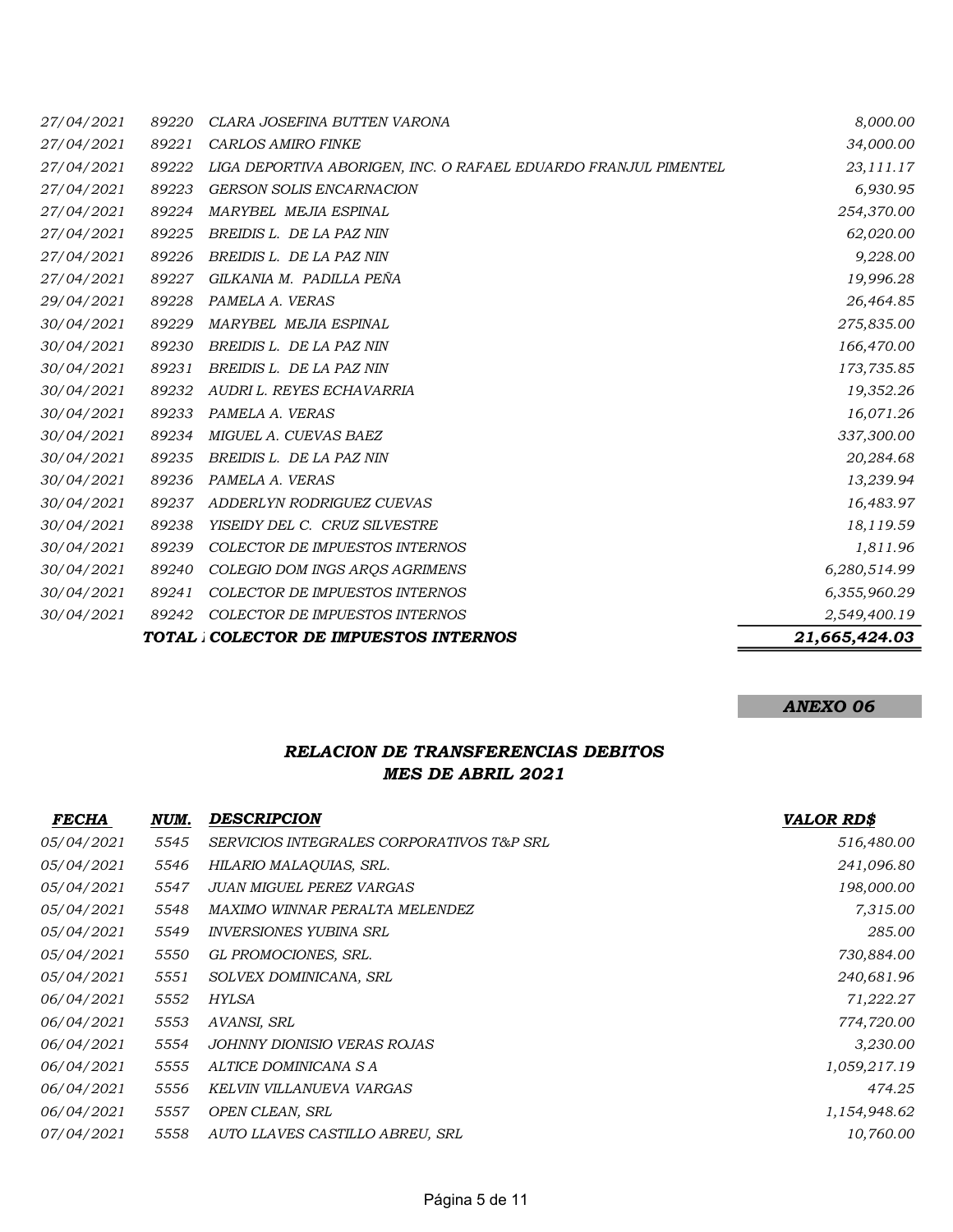| 27/04/2021 | 89220 | CLARA JOSEFINA BUTTEN VARONA                                    | 8,000.00      |
|------------|-------|-----------------------------------------------------------------|---------------|
| 27/04/2021 | 89221 | <b>CARLOS AMIRO FINKE</b>                                       | 34,000.00     |
| 27/04/2021 | 89222 | LIGA DEPORTIVA ABORIGEN, INC. O RAFAEL EDUARDO FRANJUL PIMENTEL | 23,111.17     |
| 27/04/2021 | 89223 | <b>GERSON SOLIS ENCARNACION</b>                                 | 6,930.95      |
| 27/04/2021 | 89224 | MARYBEL MEJIA ESPINAL                                           | 254,370.00    |
| 27/04/2021 | 89225 | BREIDIS L. DE LA PAZ NIN                                        | 62,020.00     |
| 27/04/2021 | 89226 | BREIDIS L. DE LA PAZ NIN                                        | 9,228.00      |
| 27/04/2021 | 89227 | GILKANIA M. PADILLA PEÑA                                        | 19,996.28     |
| 29/04/2021 | 89228 | PAMELA A. VERAS                                                 | 26,464.85     |
| 30/04/2021 | 89229 | MARYBEL MEJIA ESPINAL                                           | 275,835.00    |
| 30/04/2021 | 89230 | BREIDIS L. DE LA PAZ NIN                                        | 166,470.00    |
| 30/04/2021 | 89231 | BREIDIS L. DE LA PAZ NIN                                        | 173,735.85    |
| 30/04/2021 | 89232 | AUDRI L. REYES ECHAVARRIA                                       | 19,352.26     |
| 30/04/2021 | 89233 | PAMELA A. VERAS                                                 | 16,071.26     |
| 30/04/2021 | 89234 | MIGUEL A. CUEVAS BAEZ                                           | 337,300.00    |
| 30/04/2021 | 89235 | BREIDIS L. DE LA PAZ NIN                                        | 20,284.68     |
| 30/04/2021 | 89236 | PAMELA A. VERAS                                                 | 13,239.94     |
| 30/04/2021 | 89237 | ADDERLYN RODRIGUEZ CUEVAS                                       | 16,483.97     |
| 30/04/2021 | 89238 | YISEIDY DEL C. CRUZ SILVESTRE                                   | 18,119.59     |
| 30/04/2021 | 89239 | COLECTOR DE IMPUESTOS INTERNOS                                  | 1,811.96      |
| 30/04/2021 | 89240 | COLEGIO DOM INGS AROS AGRIMENS                                  | 6,280,514.99  |
| 30/04/2021 | 89241 | COLECTOR DE IMPUESTOS INTERNOS                                  | 6,355,960.29  |
| 30/04/2021 | 89242 | COLECTOR DE IMPUESTOS INTERNOS                                  | 2,549,400.19  |
|            |       | TOTAL COLECTOR DE IMPUESTOS INTERNOS                            | 21,665,424.03 |

## ANEXO 06

## RELACION DE TRANSFERENCIAS DEBITOS MES DE ABRIL 2021

| <b>VALOR RD\$</b> |
|-------------------|
| 516,480.00        |
| 241,096.80        |
| 198,000.00        |
| 7,315.00          |
| 285.00            |
| 730,884.00        |
| 240,681.96        |
| 71,222.27         |
| 774,720.00        |
| 3,230.00          |
| 1,059,217.19      |
| 474.25            |
| 1,154,948.62      |
| 10,760.00         |
|                   |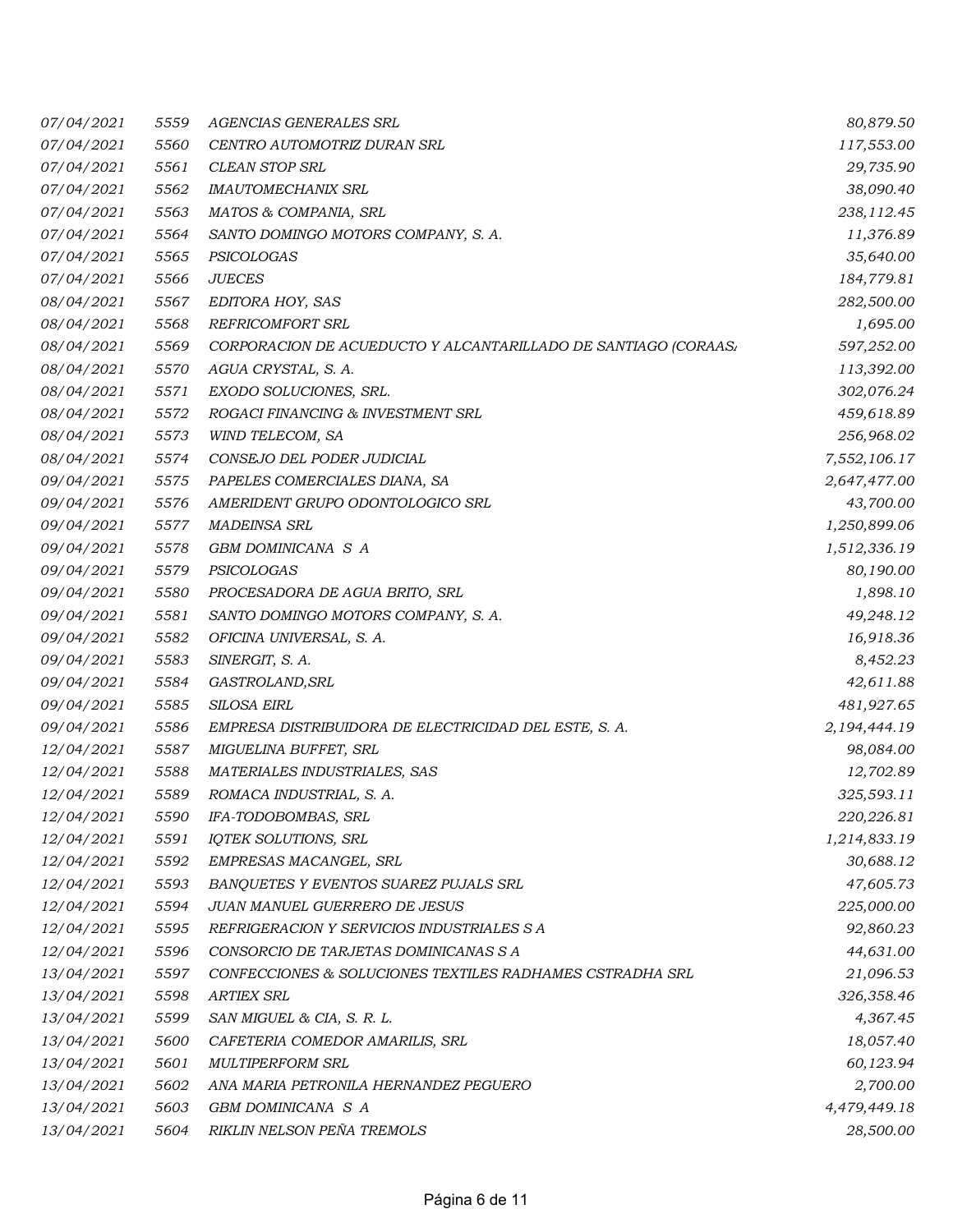| 07/04/2021        | 5559 | AGENCIAS GENERALES SRL                                         | 80,879.50    |
|-------------------|------|----------------------------------------------------------------|--------------|
| 07/04/2021        | 5560 | CENTRO AUTOMOTRIZ DURAN SRL                                    | 117,553.00   |
| 07/04/2021        | 5561 | <b>CLEAN STOP SRL</b>                                          | 29,735.90    |
| 07/04/2021        | 5562 | <b>IMAUTOMECHANIX SRL</b>                                      | 38,090.40    |
| 07/04/2021        | 5563 | MATOS & COMPANIA, SRL                                          | 238,112.45   |
| 07/04/2021        | 5564 | SANTO DOMINGO MOTORS COMPANY, S. A.                            | 11,376.89    |
| 07/04/2021        | 5565 | PSICOLOGAS                                                     | 35,640.00    |
| 07/04/2021        | 5566 | <b>JUECES</b>                                                  | 184,779.81   |
| 08/04/2021        | 5567 | EDITORA HOY, SAS                                               | 282,500.00   |
| 08/04/2021        | 5568 | <b>REFRICOMFORT SRL</b>                                        | 1,695.00     |
| 08/04/2021        | 5569 | CORPORACION DE ACUEDUCTO Y ALCANTARILLADO DE SANTIAGO (CORAAS/ | 597,252.00   |
| 08/04/2021        | 5570 | AGUA CRYSTAL, S. A.                                            | 113,392.00   |
| 08/04/2021        | 5571 | EXODO SOLUCIONES, SRL.                                         | 302,076.24   |
| 08/04/2021        | 5572 | ROGACI FINANCING & INVESTMENT SRL                              | 459,618.89   |
| 08/04/2021        | 5573 | WIND TELECOM, SA                                               | 256,968.02   |
| 08/04/2021        | 5574 | CONSEJO DEL PODER JUDICIAL                                     | 7,552,106.17 |
| 09/04/2021        | 5575 | PAPELES COMERCIALES DIANA, SA                                  | 2,647,477.00 |
| 09/04/2021        | 5576 | AMERIDENT GRUPO ODONTOLOGICO SRL                               | 43,700.00    |
| 09/04/2021        | 5577 | <b>MADEINSA SRL</b>                                            | 1,250,899.06 |
| 09/04/2021        | 5578 | GBM DOMINICANA S A                                             | 1,512,336.19 |
| 09/04/2021        | 5579 | PSICOLOGAS                                                     | 80,190.00    |
| 09/04/2021        | 5580 | PROCESADORA DE AGUA BRITO, SRL                                 | 1,898.10     |
| 09/04/2021        | 5581 | SANTO DOMINGO MOTORS COMPANY, S. A.                            | 49,248.12    |
| 09/04/2021        | 5582 | OFICINA UNIVERSAL, S. A.                                       | 16,918.36    |
| 09/04/2021        | 5583 | SINERGIT, S. A.                                                | 8,452.23     |
| 09/04/2021        | 5584 | GASTROLAND, SRL                                                | 42,611.88    |
| 09/04/2021        | 5585 | SILOSA EIRL                                                    | 481,927.65   |
| 09/04/2021        | 5586 | EMPRESA DISTRIBUIDORA DE ELECTRICIDAD DEL ESTE, S. A.          | 2,194,444.19 |
| <i>12/04/2021</i> | 5587 | MIGUELINA BUFFET, SRL                                          | 98,084.00    |
| 12/04/2021        | 5588 | MATERIALES INDUSTRIALES, SAS                                   | 12,702.89    |
| 12/04/2021        | 5589 | ROMACA INDUSTRIAL, S. A.                                       | 325,593.11   |
| 12/04/2021        | 5590 | IFA-TODOBOMBAS, SRL                                            | 220,226.81   |
| 12/04/2021        | 5591 | IQTEK SOLUTIONS, SRL                                           | 1,214,833.19 |
| <i>12/04/2021</i> | 5592 | EMPRESAS MACANGEL, SRL                                         | 30,688.12    |
| 12/04/2021        | 5593 | BANQUETES Y EVENTOS SUAREZ PUJALS SRL                          | 47,605.73    |
| 12/04/2021        | 5594 | JUAN MANUEL GUERRERO DE JESUS                                  | 225,000.00   |
| 12/04/2021        | 5595 | REFRIGERACION Y SERVICIOS INDUSTRIALES S A                     | 92,860.23    |
| 12/04/2021        | 5596 | CONSORCIO DE TARJETAS DOMINICANAS S A                          | 44,631.00    |
| 13/04/2021        | 5597 | CONFECCIONES & SOLUCIONES TEXTILES RADHAMES CSTRADHA SRL       | 21,096.53    |
| 13/04/2021        | 5598 | <b>ARTIEX SRL</b>                                              | 326,358.46   |
| 13/04/2021        | 5599 | SAN MIGUEL & CIA, S. R. L.                                     | 4,367.45     |
| 13/04/2021        | 5600 | CAFETERIA COMEDOR AMARILIS, SRL                                | 18,057.40    |
| 13/04/2021        | 5601 | <b>MULTIPERFORM SRL</b>                                        | 60,123.94    |
| 13/04/2021        | 5602 | ANA MARIA PETRONILA HERNANDEZ PEGUERO                          | 2,700.00     |
| 13/04/2021        | 5603 | GBM DOMINICANA S A                                             | 4,479,449.18 |
| 13/04/2021        | 5604 | RIKLIN NELSON PEÑA TREMOLS                                     | 28,500.00    |
|                   |      |                                                                |              |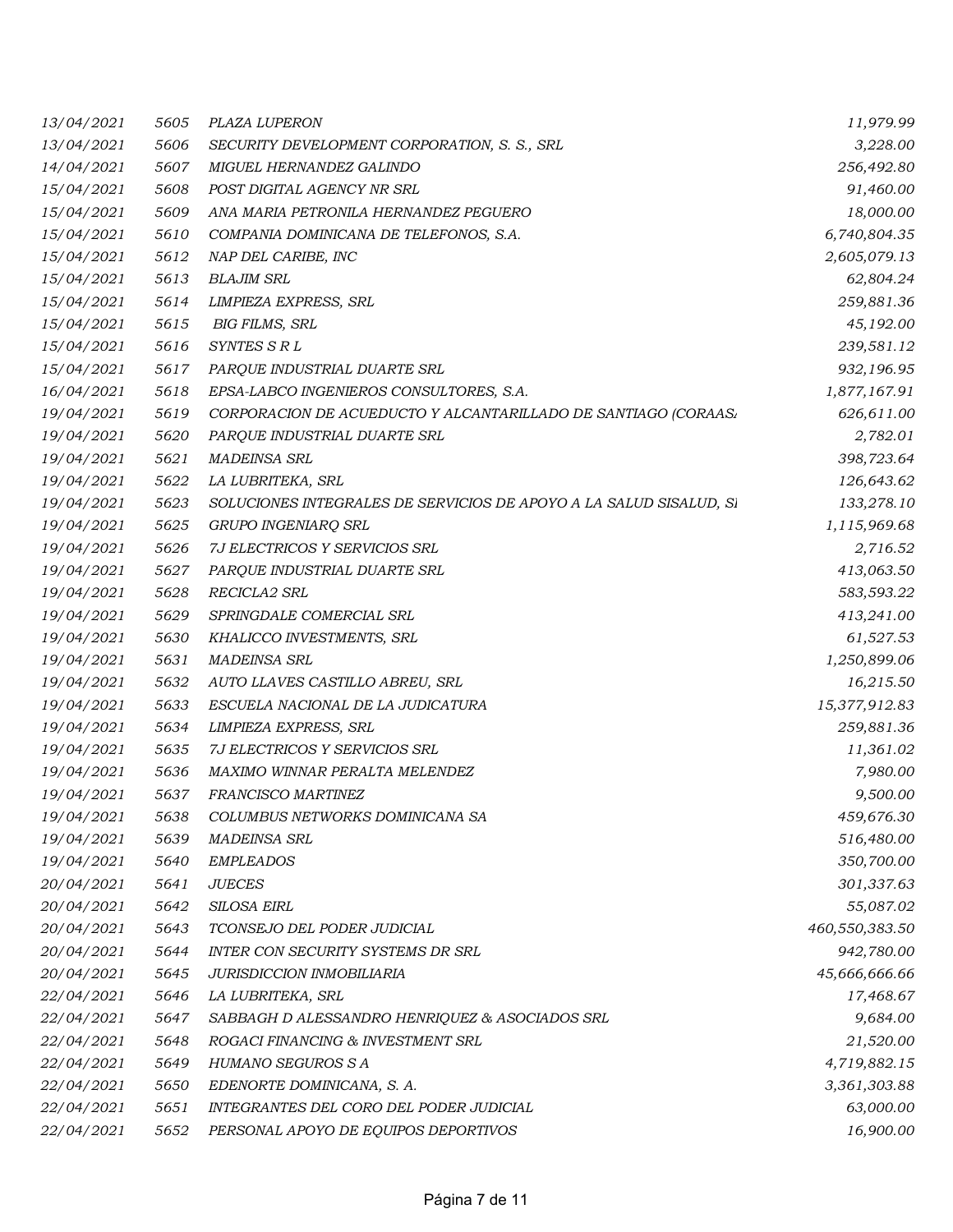| 13/04/2021 | 5605 | PLAZA LUPERON                                                      | 11,979.99      |
|------------|------|--------------------------------------------------------------------|----------------|
| 13/04/2021 | 5606 | SECURITY DEVELOPMENT CORPORATION, S. S., SRL                       | 3,228.00       |
| 14/04/2021 | 5607 | MIGUEL HERNANDEZ GALINDO                                           | 256,492.80     |
| 15/04/2021 | 5608 | POST DIGITAL AGENCY NR SRL                                         | 91,460.00      |
| 15/04/2021 | 5609 | ANA MARIA PETRONILA HERNANDEZ PEGUERO                              | 18,000.00      |
| 15/04/2021 | 5610 | COMPANIA DOMINICANA DE TELEFONOS, S.A.                             | 6,740,804.35   |
| 15/04/2021 | 5612 | NAP DEL CARIBE, INC                                                | 2,605,079.13   |
| 15/04/2021 | 5613 | <b>BLAJIM SRL</b>                                                  | 62,804.24      |
| 15/04/2021 | 5614 | LIMPIEZA EXPRESS, SRL                                              | 259,881.36     |
| 15/04/2021 | 5615 | <b>BIG FILMS, SRL</b>                                              | 45,192.00      |
| 15/04/2021 | 5616 | SYNTES S R L                                                       | 239,581.12     |
| 15/04/2021 | 5617 | PARQUE INDUSTRIAL DUARTE SRL                                       | 932,196.95     |
| 16/04/2021 | 5618 | EPSA-LABCO INGENIEROS CONSULTORES, S.A.                            | 1,877,167.91   |
| 19/04/2021 | 5619 | CORPORACION DE ACUEDUCTO Y ALCANTARILLADO DE SANTIAGO (CORAAS/     | 626,611.00     |
| 19/04/2021 | 5620 | PARQUE INDUSTRIAL DUARTE SRL                                       | 2,782.01       |
| 19/04/2021 | 5621 | <b>MADEINSA SRL</b>                                                | 398,723.64     |
| 19/04/2021 | 5622 | LA LUBRITEKA, SRL                                                  | 126,643.62     |
| 19/04/2021 | 5623 | SOLUCIONES INTEGRALES DE SERVICIOS DE APOYO A LA SALUD SISALUD, SI | 133,278.10     |
| 19/04/2021 | 5625 | GRUPO INGENIARQ SRL                                                | 1,115,969.68   |
| 19/04/2021 | 5626 | 7J ELECTRICOS Y SERVICIOS SRL                                      | 2,716.52       |
| 19/04/2021 | 5627 | PARQUE INDUSTRIAL DUARTE SRL                                       | 413,063.50     |
| 19/04/2021 | 5628 | RECICLA2 SRL                                                       | 583,593.22     |
| 19/04/2021 | 5629 | SPRINGDALE COMERCIAL SRL                                           | 413,241.00     |
| 19/04/2021 | 5630 | KHALICCO INVESTMENTS, SRL                                          | 61,527.53      |
| 19/04/2021 | 5631 | <b>MADEINSA SRL</b>                                                | 1,250,899.06   |
| 19/04/2021 | 5632 | AUTO LLAVES CASTILLO ABREU, SRL                                    | 16,215.50      |
| 19/04/2021 | 5633 | ESCUELA NACIONAL DE LA JUDICATURA                                  | 15,377,912.83  |
| 19/04/2021 | 5634 | LIMPIEZA EXPRESS, SRL                                              | 259,881.36     |
| 19/04/2021 | 5635 | 7J ELECTRICOS Y SERVICIOS SRL                                      | 11,361.02      |
| 19/04/2021 | 5636 | MAXIMO WINNAR PERALTA MELENDEZ                                     | 7,980.00       |
| 19/04/2021 | 5637 | FRANCISCO MARTINEZ                                                 | 9,500.00       |
| 19/04/2021 | 5638 | COLUMBUS NETWORKS DOMINICANA SA                                    | 459,676.30     |
| 19/04/2021 | 5639 | <b>MADEINSA SRL</b>                                                | 516,480.00     |
| 19/04/2021 | 5640 | <b>EMPLEADOS</b>                                                   | 350,700.00     |
| 20/04/2021 | 5641 | <b>JUECES</b>                                                      | 301,337.63     |
| 20/04/2021 | 5642 | SILOSA EIRL                                                        | 55,087.02      |
| 20/04/2021 | 5643 | TCONSEJO DEL PODER JUDICIAL                                        | 460,550,383.50 |
| 20/04/2021 | 5644 | INTER CON SECURITY SYSTEMS DR SRL                                  | 942,780.00     |
| 20/04/2021 | 5645 | <b>JURISDICCION INMOBILIARIA</b>                                   | 45,666,666.66  |
| 22/04/2021 | 5646 | LA LUBRITEKA, SRL                                                  | 17,468.67      |
| 22/04/2021 | 5647 | SABBAGH D ALESSANDRO HENRIQUEZ & ASOCIADOS SRL                     | 9,684.00       |
| 22/04/2021 | 5648 | ROGACI FINANCING & INVESTMENT SRL                                  | 21,520.00      |
| 22/04/2021 | 5649 | HUMANO SEGUROS S A                                                 | 4,719,882.15   |
| 22/04/2021 | 5650 | EDENORTE DOMINICANA, S. A.                                         | 3,361,303.88   |
| 22/04/2021 | 5651 | INTEGRANTES DEL CORO DEL PODER JUDICIAL                            | 63,000.00      |
| 22/04/2021 | 5652 | PERSONAL APOYO DE EQUIPOS DEPORTIVOS                               | 16,900.00      |
|            |      |                                                                    |                |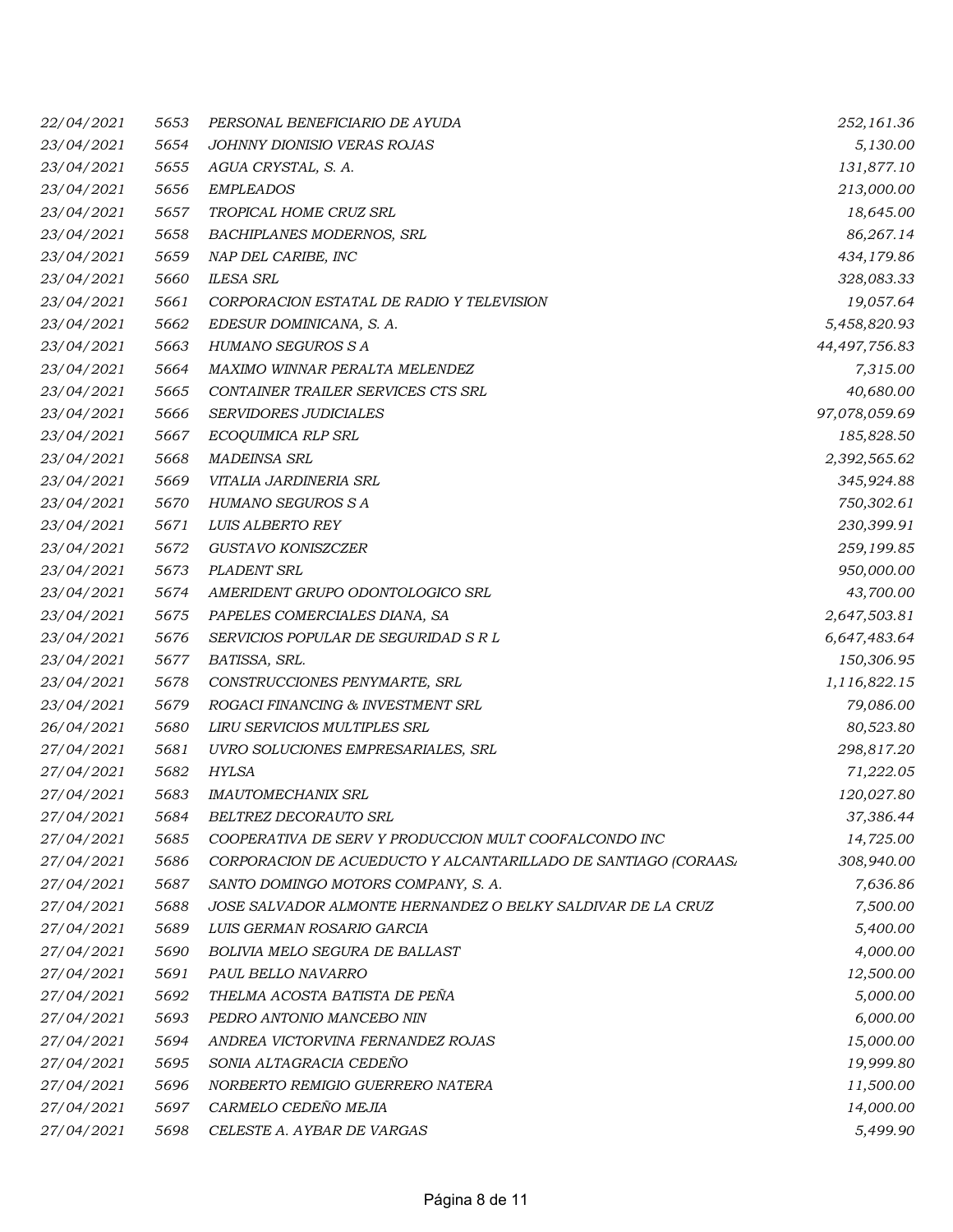| <i>22/04/2021</i> | 5653 | PERSONAL BENEFICIARIO DE AYUDA                                 | 252,161.36    |
|-------------------|------|----------------------------------------------------------------|---------------|
| 23/04/2021        | 5654 | JOHNNY DIONISIO VERAS ROJAS                                    | 5,130.00      |
| 23/04/2021        | 5655 | AGUA CRYSTAL, S. A.                                            | 131,877.10    |
| 23/04/2021        | 5656 | <b>EMPLEADOS</b>                                               | 213,000.00    |
| 23/04/2021        | 5657 | TROPICAL HOME CRUZ SRL                                         | 18,645.00     |
| 23/04/2021        | 5658 | BACHIPLANES MODERNOS, SRL                                      | 86,267.14     |
| 23/04/2021        | 5659 | NAP DEL CARIBE, INC                                            | 434,179.86    |
| 23/04/2021        | 5660 | <b>ILESA SRL</b>                                               | 328,083.33    |
| 23/04/2021        | 5661 | CORPORACION ESTATAL DE RADIO Y TELEVISION                      | 19,057.64     |
| 23/04/2021        | 5662 | EDESUR DOMINICANA, S. A.                                       | 5,458,820.93  |
| 23/04/2021        | 5663 | HUMANO SEGUROS S A                                             | 44,497,756.83 |
| 23/04/2021        | 5664 | MAXIMO WINNAR PERALTA MELENDEZ                                 | 7,315.00      |
| 23/04/2021        | 5665 | CONTAINER TRAILER SERVICES CTS SRL                             | 40,680.00     |
| 23/04/2021        | 5666 | SERVIDORES JUDICIALES                                          | 97,078,059.69 |
| 23/04/2021        | 5667 | ECOQUIMICA RLP SRL                                             | 185,828.50    |
| 23/04/2021        | 5668 | <b>MADEINSA SRL</b>                                            | 2,392,565.62  |
| 23/04/2021        | 5669 | VITALIA JARDINERIA SRL                                         | 345,924.88    |
| 23/04/2021        | 5670 | HUMANO SEGUROS S A                                             | 750,302.61    |
| 23/04/2021        | 5671 | LUIS ALBERTO REY                                               | 230,399.91    |
| 23/04/2021        | 5672 | GUSTAVO KONISZCZER                                             | 259,199.85    |
| 23/04/2021        | 5673 | PLADENT SRL                                                    | 950,000.00    |
| 23/04/2021        | 5674 | AMERIDENT GRUPO ODONTOLOGICO SRL                               | 43,700.00     |
| 23/04/2021        | 5675 | PAPELES COMERCIALES DIANA, SA                                  | 2,647,503.81  |
| 23/04/2021        | 5676 | SERVICIOS POPULAR DE SEGURIDAD S R L                           | 6,647,483.64  |
| 23/04/2021        | 5677 | BATISSA, SRL.                                                  | 150,306.95    |
| 23/04/2021        | 5678 | CONSTRUCCIONES PENYMARTE, SRL                                  | 1,116,822.15  |
| 23/04/2021        | 5679 | ROGACI FINANCING & INVESTMENT SRL                              | 79,086.00     |
| 26/04/2021        | 5680 | LIRU SERVICIOS MULTIPLES SRL                                   | 80,523.80     |
| 27/04/2021        | 5681 | UVRO SOLUCIONES EMPRESARIALES, SRL                             | 298,817.20    |
| 27/04/2021        | 5682 | <b>HYLSA</b>                                                   | 71,222.05     |
| 27/04/2021        | 5683 | <b>IMAUTOMECHANIX SRL</b>                                      | 120,027.80    |
| 27/04/2021        | 5684 | BELTREZ DECORAUTO SRL                                          | 37,386.44     |
| 27/04/2021        | 5685 | COOPERATIVA DE SERV Y PRODUCCION MULT COOFALCONDO INC          | 14,725.00     |
| 27/04/2021        | 5686 | CORPORACION DE ACUEDUCTO Y ALCANTARILLADO DE SANTIAGO (CORAAS. | 308,940.00    |
| 27/04/2021        | 5687 | SANTO DOMINGO MOTORS COMPANY, S. A.                            | 7,636.86      |
| 27/04/2021        | 5688 | JOSE SALVADOR ALMONTE HERNANDEZ O BELKY SALDIVAR DE LA CRUZ    | 7,500.00      |
| 27/04/2021        | 5689 | LUIS GERMAN ROSARIO GARCIA                                     | 5,400.00      |
| 27/04/2021        | 5690 | <b>BOLIVIA MELO SEGURA DE BALLAST</b>                          | 4,000.00      |
| 27/04/2021        | 5691 | PAUL BELLO NAVARRO                                             | 12,500.00     |
| 27/04/2021        | 5692 | THELMA ACOSTA BATISTA DE PEÑA                                  | 5,000.00      |
| 27/04/2021        | 5693 | PEDRO ANTONIO MANCEBO NIN                                      | 6,000.00      |
| 27/04/2021        | 5694 | ANDREA VICTORVINA FERNANDEZ ROJAS                              | 15,000.00     |
| 27/04/2021        | 5695 | SONIA ALTAGRACIA CEDEÑO                                        | 19,999.80     |
| 27/04/2021        | 5696 | NORBERTO REMIGIO GUERRERO NATERA                               | 11,500.00     |
| 27/04/2021        | 5697 | CARMELO CEDEÑO MEJIA                                           | 14,000.00     |
| 27/04/2021        | 5698 | CELESTE A. AYBAR DE VARGAS                                     | 5,499.90      |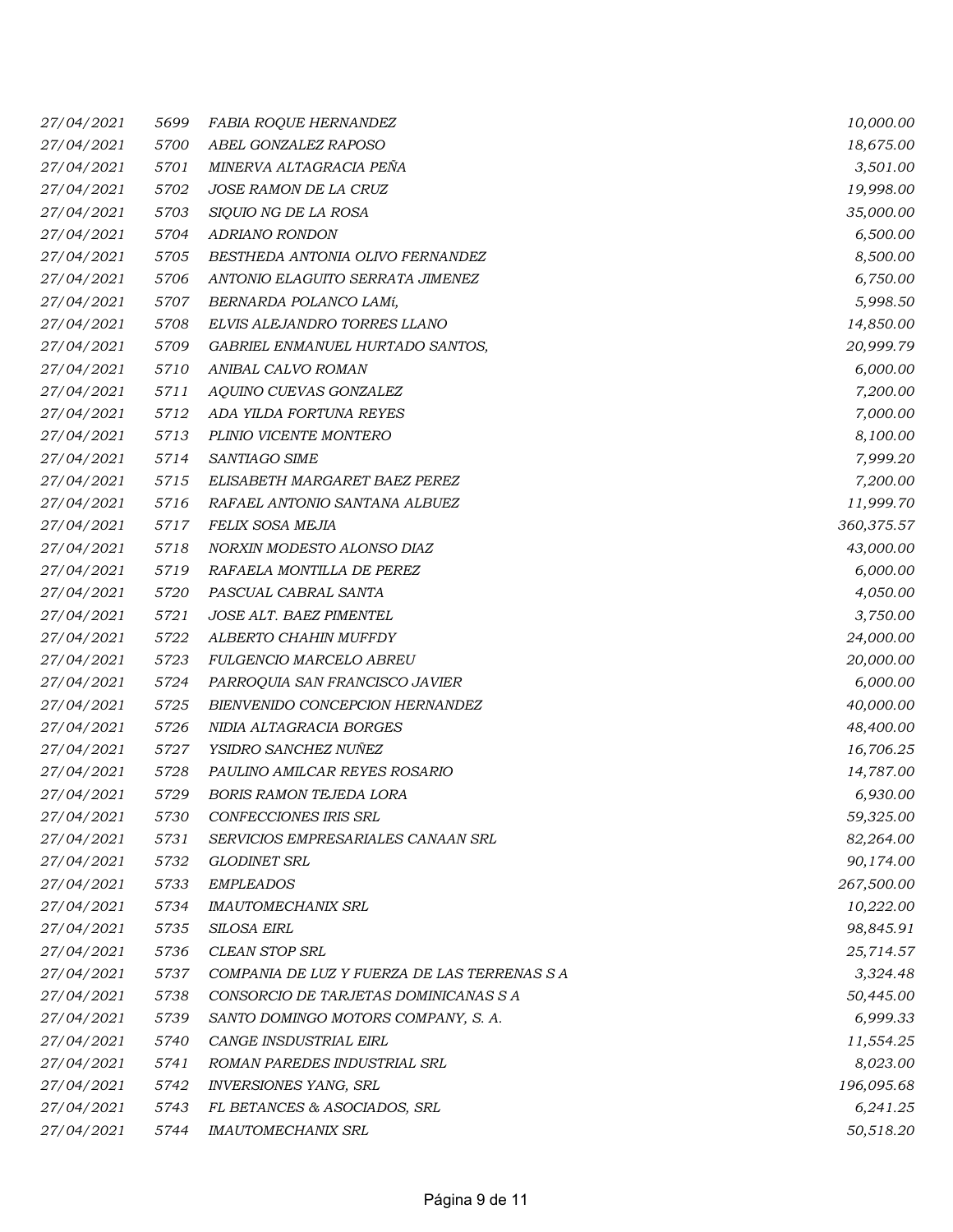| 27/04/2021 | 5699 | <b>FABIA ROQUE HERNANDEZ</b>                 | 10,000.00  |
|------------|------|----------------------------------------------|------------|
| 27/04/2021 | 5700 | ABEL GONZALEZ RAPOSO                         | 18,675.00  |
| 27/04/2021 | 5701 | MINERVA ALTAGRACIA PENA                      | 3,501.00   |
| 27/04/2021 | 5702 | JOSE RAMON DE LA CRUZ                        | 19,998.00  |
| 27/04/2021 | 5703 | SIQUIO NG DE LA ROSA                         | 35,000.00  |
| 27/04/2021 | 5704 | ADRIANO RONDON                               | 6,500.00   |
| 27/04/2021 | 5705 | BESTHEDA ANTONIA OLIVO FERNANDEZ             | 8,500.00   |
| 27/04/2021 | 5706 | ANTONIO ELAGUITO SERRATA JIMENEZ             | 6,750.00   |
| 27/04/2021 | 5707 | BERNARDA POLANCO LAMí,                       | 5,998.50   |
| 27/04/2021 | 5708 | ELVIS ALEJANDRO TORRES LLANO                 | 14,850.00  |
| 27/04/2021 | 5709 | GABRIEL ENMANUEL HURTADO SANTOS,             | 20,999.79  |
| 27/04/2021 | 5710 | ANIBAL CALVO ROMAN                           | 6,000.00   |
| 27/04/2021 | 5711 | AQUINO CUEVAS GONZALEZ                       | 7,200.00   |
| 27/04/2021 | 5712 | ADA YILDA FORTUNA REYES                      | 7,000.00   |
| 27/04/2021 | 5713 | PLINIO VICENTE MONTERO                       | 8,100.00   |
| 27/04/2021 | 5714 | SANTIAGO SIME                                | 7,999.20   |
| 27/04/2021 | 5715 | ELISABETH MARGARET BAEZ PEREZ                | 7,200.00   |
| 27/04/2021 | 5716 | RAFAEL ANTONIO SANTANA ALBUEZ                | 11,999.70  |
| 27/04/2021 | 5717 | FELIX SOSA MEJIA                             | 360,375.57 |
| 27/04/2021 | 5718 | NORXIN MODESTO ALONSO DIAZ                   | 43,000.00  |
| 27/04/2021 | 5719 | RAFAELA MONTILLA DE PEREZ                    | 6,000.00   |
| 27/04/2021 | 5720 | PASCUAL CABRAL SANTA                         | 4,050.00   |
| 27/04/2021 | 5721 | JOSE ALT. BAEZ PIMENTEL                      | 3,750.00   |
| 27/04/2021 | 5722 | ALBERTO CHAHIN MUFFDY                        | 24,000.00  |
| 27/04/2021 | 5723 | <b>FULGENCIO MARCELO ABREU</b>               | 20,000.00  |
| 27/04/2021 | 5724 | PARROQUIA SAN FRANCISCO JAVIER               | 6,000.00   |
| 27/04/2021 | 5725 | BIENVENIDO CONCEPCION HERNANDEZ              | 40,000.00  |
| 27/04/2021 | 5726 | NIDIA ALTAGRACIA BORGES                      | 48,400.00  |
| 27/04/2021 | 5727 | YSIDRO SANCHEZ NUÑEZ                         | 16,706.25  |
| 27/04/2021 | 5728 | PAULINO AMILCAR REYES ROSARIO                | 14,787.00  |
| 27/04/2021 | 5729 | <b>BORIS RAMON TEJEDA LORA</b>               | 6,930.00   |
| 27/04/2021 | 5730 | CONFECCIONES IRIS SRL                        | 59,325.00  |
| 27/04/2021 | 5731 | SERVICIOS EMPRESARIALES CANAAN SRL           | 82,264.00  |
| 27/04/2021 | 5732 | GLODINET SRL                                 | 90,174.00  |
| 27/04/2021 | 5733 | <b>EMPLEADOS</b>                             | 267,500.00 |
| 27/04/2021 | 5734 | <b>IMAUTOMECHANIX SRL</b>                    | 10,222.00  |
| 27/04/2021 | 5735 | <b>SILOSA EIRL</b>                           | 98,845.91  |
| 27/04/2021 | 5736 | CLEAN STOP SRL                               | 25,714.57  |
| 27/04/2021 | 5737 | COMPANIA DE LUZ Y FUERZA DE LAS TERRENAS S A | 3,324.48   |
| 27/04/2021 | 5738 | CONSORCIO DE TARJETAS DOMINICANAS S A        | 50,445.00  |
| 27/04/2021 | 5739 | SANTO DOMINGO MOTORS COMPANY, S. A.          | 6,999.33   |
| 27/04/2021 | 5740 | CANGE INSDUSTRIAL EIRL                       | 11,554.25  |
| 27/04/2021 | 5741 | ROMAN PAREDES INDUSTRIAL SRL                 | 8,023.00   |
| 27/04/2021 | 5742 | INVERSIONES YANG, SRL                        | 196,095.68 |
| 27/04/2021 | 5743 | FL BETANCES & ASOCIADOS, SRL                 | 6,241.25   |
| 27/04/2021 | 5744 | <b>IMAUTOMECHANIX SRL</b>                    | 50,518.20  |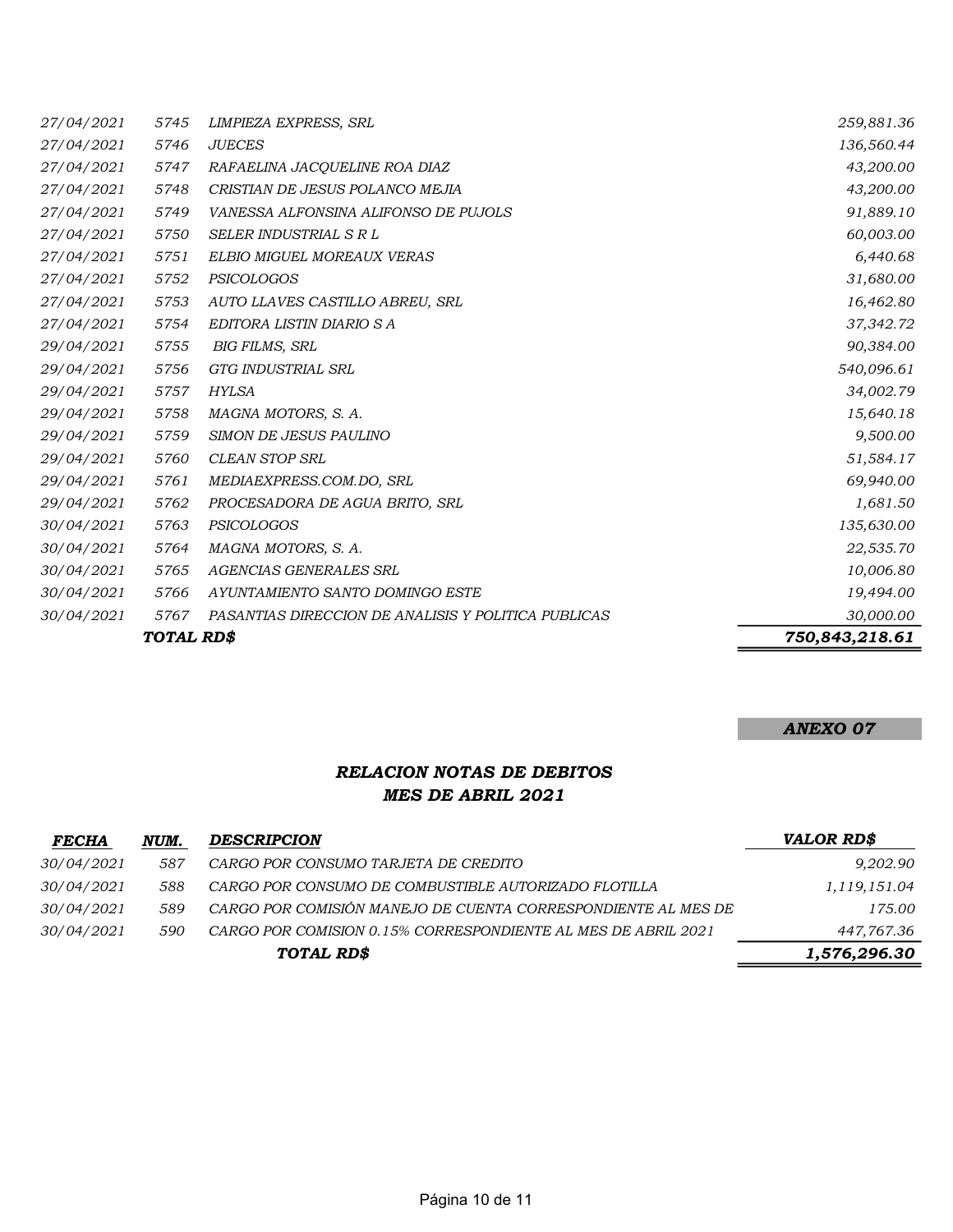|            | TOTAL RD\$ |                                                     | 750,843,218.61 |
|------------|------------|-----------------------------------------------------|----------------|
| 30/04/2021 | 5767       | PASANTIAS DIRECCION DE ANALISIS Y POLITICA PUBLICAS | 30,000.00      |
| 30/04/2021 | 5766       | AYUNTAMIENTO SANTO DOMINGO ESTE                     | 19,494.00      |
| 30/04/2021 | 5765       | AGENCIAS GENERALES SRL                              | 10,006.80      |
| 30/04/2021 | 5764       | MAGNA MOTORS, S. A.                                 | 22,535.70      |
| 30/04/2021 | 5763       | PSICOLOGOS                                          | 135,630.00     |
| 29/04/2021 | 5762       | PROCESADORA DE AGUA BRITO, SRL                      | 1,681.50       |
| 29/04/2021 | 5761       | MEDIAEXPRESS.COM.DO, SRL                            | 69,940.00      |
| 29/04/2021 | 5760       | <b>CLEAN STOP SRL</b>                               | 51,584.17      |
| 29/04/2021 | 5759       | SIMON DE JESUS PAULINO                              | 9,500.00       |
| 29/04/2021 | 5758       | MAGNA MOTORS, S. A.                                 | 15,640.18      |
| 29/04/2021 | 5757       | <b>HYLSA</b>                                        | 34,002.79      |
| 29/04/2021 | 5756       | GTG INDUSTRIAL SRL                                  | 540,096.61     |
| 29/04/2021 | 5755       | <b>BIG FILMS, SRL</b>                               | 90,384.00      |
| 27/04/2021 | 5754       | EDITORA LISTIN DIARIO S A                           | 37,342.72      |
| 27/04/2021 | 5753       | AUTO LLAVES CASTILLO ABREU, SRL                     | 16,462.80      |
| 27/04/2021 | 5752       | PSICOLOGOS                                          | 31,680.00      |
| 27/04/2021 | 5751       | ELBIO MIGUEL MOREAUX VERAS                          | 6,440.68       |
| 27/04/2021 | 5750       | SELER INDUSTRIAL S R L                              | 60,003.00      |
| 27/04/2021 | 5749       | VANESSA ALFONSINA ALIFONSO DE PUJOLS                | 91,889.10      |
| 27/04/2021 | 5748       | CRISTIAN DE JESUS POLANCO MEJIA                     | 43,200.00      |
| 27/04/2021 | 5747       | RAFAELINA JACQUELINE ROA DIAZ                       | 43,200.00      |
| 27/04/2021 | 5746       | <b>JUECES</b>                                       | 136,560.44     |
| 27/04/2021 | 5745       | LIMPIEZA EXPRESS, SRL                               | 259,881.36     |

#### ANEXO 07

## RELACION NOTAS DE DEBITOS MES DE ABRIL 2021

| <b>FECHA</b>      | NUM. | <b>DESCRIPCION</b>                                            | VALOR RD\$   |
|-------------------|------|---------------------------------------------------------------|--------------|
| 30/04/2021        | 587  | CARGO POR CONSUMO TARJETA DE CREDITO                          | 9,202.90     |
| <i>30/04/2021</i> | 588. | CARGO POR CONSUMO DE COMBUSTIBLE AUTORIZADO FLOTILLA          | 1,119,151.04 |
| <i>30/04/2021</i> | 589  | CARGO POR COMISIÓN MANEJO DE CUENTA CORRESPONDIENTE AL MES DE | 175.00       |
| <i>30/04/2021</i> | 590  | CARGO POR COMISION 0.15% CORRESPONDIENTE AL MES DE ABRIL 2021 | 447,767.36   |
|                   |      | TOTAL RD\$                                                    | 1,576,296.30 |